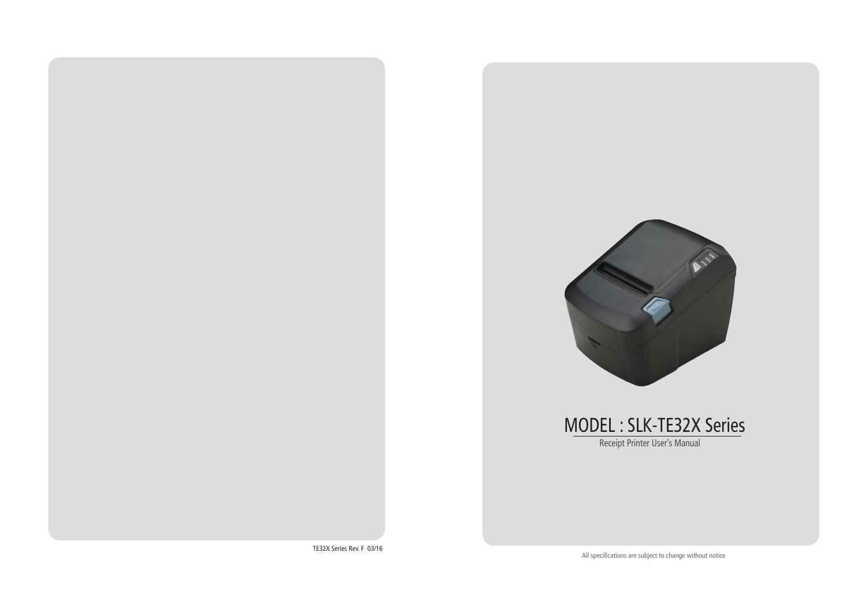

Receipt Printer User's Manual MODEL : SLK-TE32X Series

TE32X Series Rev. F 03/16

All specifications are subject to change without notice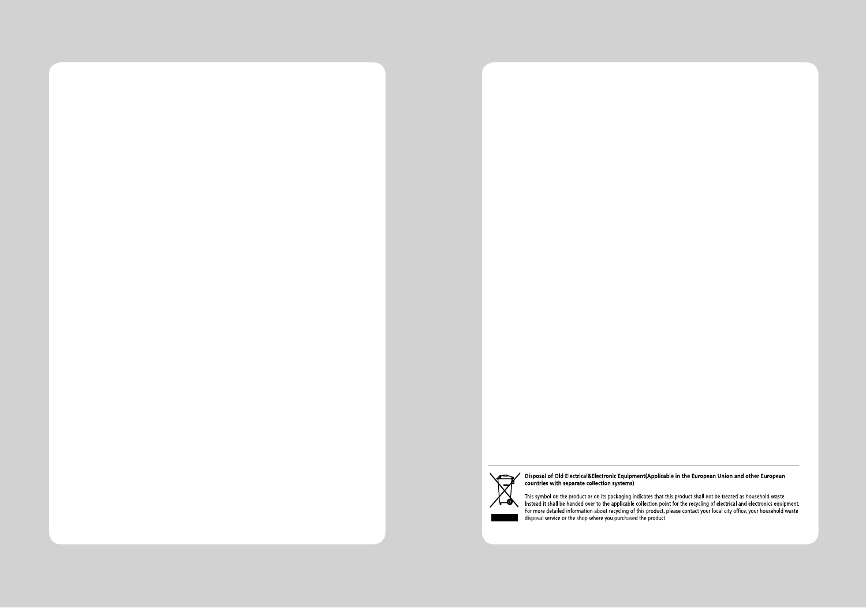

prisposal of Old Electrical&Electronic Equipment(Applicable in the European Union and other European<br>countries with separate collection systems)

This symbol on the product or on its packaging indicates that this product shall not be treated as household waste.<br>Instead it shall be handed over to the applicable collection point for the recycling of electrical and ele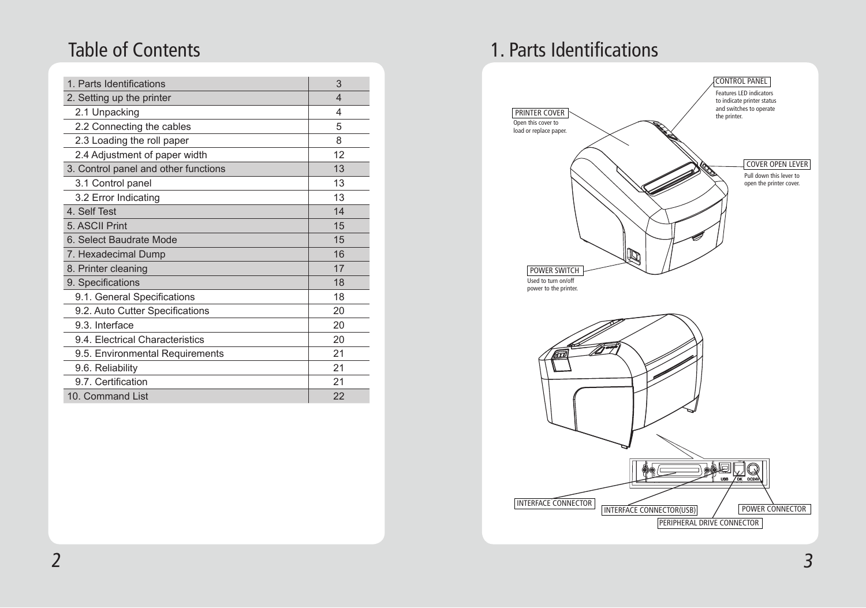| 1. Parts Identifications             | 3  |
|--------------------------------------|----|
| 2. Setting up the printer            | 4  |
| 2.1 Unpacking                        | 4  |
| 2.2 Connecting the cables            | 5  |
| 2.3 Loading the roll paper           | 8  |
| 2.4 Adjustment of paper width        | 12 |
| 3. Control panel and other functions | 13 |
| 3.1 Control panel                    | 13 |
| 3.2 Error Indicating                 | 13 |
| 4. Self Test                         | 14 |
| 5. ASCII Print                       | 15 |
| 6. Select Baudrate Mode              | 15 |
| 7. Hexadecimal Dump                  | 16 |
| 8. Printer cleaning                  | 17 |
| 9. Specifications                    | 18 |
| 9.1. General Specifications          | 18 |
| 9.2. Auto Cutter Specifications      | 20 |
| 9.3. Interface                       | 20 |
| 9.4. Electrical Characteristics      | 20 |
| 9.5. Environmental Requirements      | 21 |
| 9.6. Reliability                     | 21 |
| 9.7. Certification                   | 21 |
| 10. Command List                     | 22 |

## Table of Contents **1. Parts Identifications**

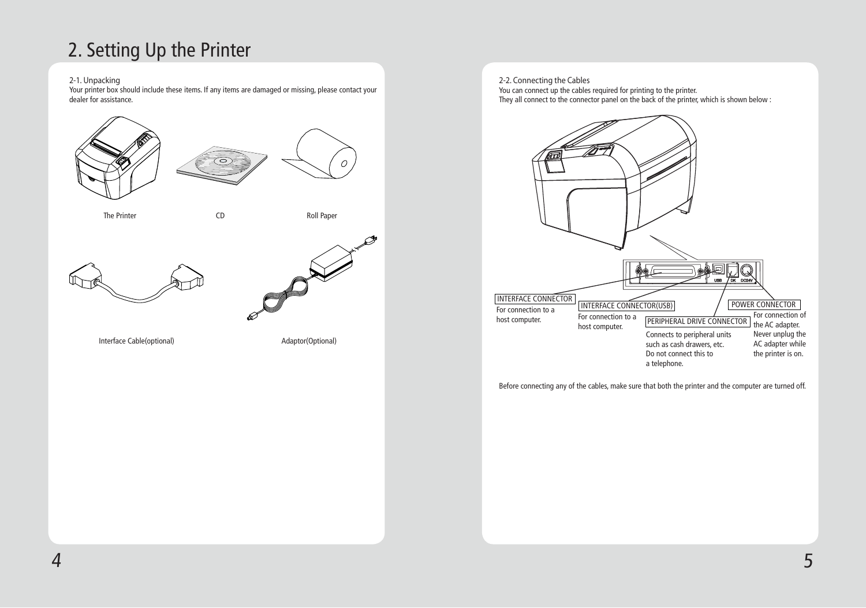# 2. Setting Up the Printer

#### 2-1. Unpacking

Your printer box should include these items. If any items are damaged or missing, please contact your dealer for assistance.



2-2. Connecting the Cables You can connect up the cables required for printing to the printer. They all connect to the connector panel on the back of the printer, which is shown below :



Before connecting any of the cables, make sure that both the printer and the computer are turned off.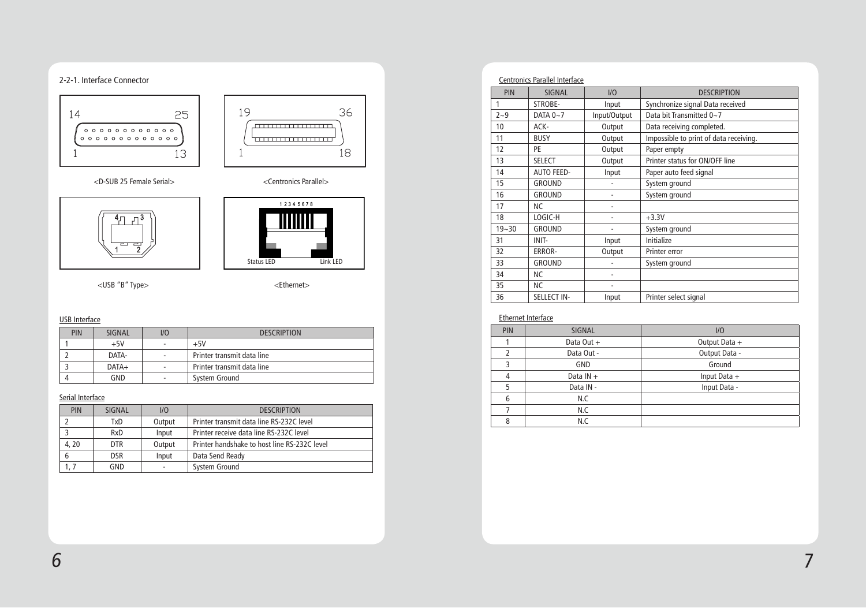### 2-2-1. Interface Connector



<D-SUB 25 Female Serial> <Centronics Parallel>





<USB "B" Type> <Ethernet>

#### USB Interface

I

| PIN | SIGNAL  | 1/O                      | <b>DESCRIPTION</b>         |
|-----|---------|--------------------------|----------------------------|
|     | $+5V$   | $\overline{\phantom{a}}$ | $+5V$                      |
|     | DATA-   | $\overline{\phantom{a}}$ | Printer transmit data line |
|     | $DATA+$ | $\overline{\phantom{a}}$ | Printer transmit data line |
|     | GND     | $\overline{\phantom{a}}$ | System Ground              |

### Serial Interface

| <b>PIN</b> | SIGNAL     | UQ     | <b>DESCRIPTION</b>                           |
|------------|------------|--------|----------------------------------------------|
|            | TxD        | Output | Printer transmit data line RS-232C level     |
|            | RxD        | Input  | Printer receive data line RS-232C level      |
| 4,20       | DTR.       | Output | Printer handshake to host line RS-232C level |
|            | <b>DSR</b> | Input  | Data Send Ready                              |
|            | GND        |        | System Ground                                |

| <b>Centronics Parallel Interface</b> |                    |                |                                        |  |
|--------------------------------------|--------------------|----------------|----------------------------------------|--|
| PIN                                  | <b>SIGNAL</b>      | 1/0            | <b>DESCRIPTION</b>                     |  |
| 1                                    | STROBE-            | Input          | Synchronize signal Data received       |  |
| $2 - 9$                              | DATA $0 - 7$       | Input/Output   | Data bit Transmitted 0~7               |  |
| 10                                   | ACK-               | Output         | Data receiving completed.              |  |
| 11                                   | <b>BUSY</b>        | Output         | Impossible to print of data receiving. |  |
| 12                                   | PE                 | Output         | Paper empty                            |  |
| 13                                   | <b>SELECT</b>      | Output         | Printer status for ON/OFF line         |  |
| 14                                   | <b>AUTO FEED-</b>  | Input          | Paper auto feed signal                 |  |
| 15                                   | <b>GROUND</b>      |                | System ground                          |  |
| 16                                   | <b>GROUND</b>      |                | System ground                          |  |
| 17                                   | <b>NC</b>          | $\overline{a}$ |                                        |  |
| 18                                   | LOGIC-H            |                | $+3.3V$                                |  |
| $19 - 30$                            | <b>GROUND</b>      |                | System ground                          |  |
| 31                                   | INIT-              | Input          | Initialize                             |  |
| 32                                   | ERROR-             | Output         | Printer error                          |  |
| 33                                   | <b>GROUND</b>      |                | System ground                          |  |
| 34                                   | NC.                |                |                                        |  |
| 35                                   | NС                 |                |                                        |  |
| 36                                   | <b>SELLECT IN-</b> | Input          | Printer select signal                  |  |

#### Ethernet Interface

| <b>PIN</b> | <b>SIGNAL</b>               | 1/0            |
|------------|-----------------------------|----------------|
|            | Data Out +                  | Output Data +  |
|            | Output Data -<br>Data Out - |                |
| ₹          | GND                         | Ground         |
| 4          | Data $IN +$                 | Input Data $+$ |
| 5          | Data IN -                   | Input Data -   |
| 6          | N.C                         |                |
|            | N.C                         |                |
| ጸ          | N.C                         |                |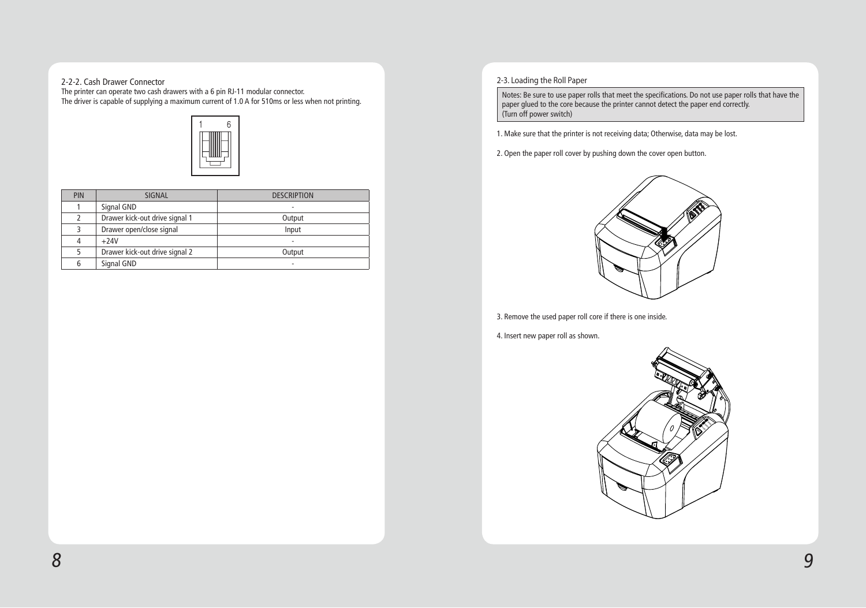### 2-2-2. Cash Drawer Connector

The printer can operate two cash drawers with a 6 pin RJ-11 modular connector. The driver is capable of supplying a maximum current of 1.0 A for 510ms or less when not printing.



| <b>PIN</b> | <b>SIGNAL</b>                  | <b>DESCRIPTION</b>       |
|------------|--------------------------------|--------------------------|
|            | Signal GND                     |                          |
|            | Drawer kick-out drive signal 1 | Output                   |
| 3          | Drawer open/close signal       | Input                    |
| 4          | $+24V$                         | $\overline{\phantom{a}}$ |
|            | Drawer kick-out drive signal 2 | Output                   |
| 6          | Signal GND                     |                          |

### 2-3. Loading the Roll Paper

Notes: Be sure to use paper rolls that meet the specifications. Do not use paper rolls that have the paper glued to the core because the printer cannot detect the paper end correctly. (Turn off power switch)

- 1. Make sure that the printer is not receiving data; Otherwise, data may be lost.
- 2. Open the paper roll cover by pushing down the cover open button.



3. Remove the used paper roll core if there is one inside.

4. Insert new paper roll as shown.

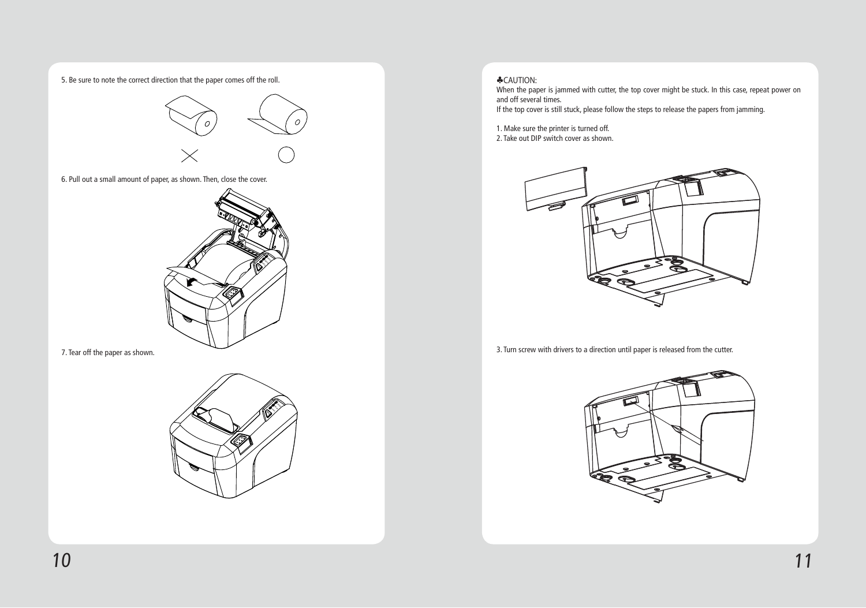5. Be sure to note the correct direction that the paper comes off the roll.



6. Pull out a small amount of paper, as shown. Then, close the cover.



7. Tear off the paper as shown.



### ♣CAUTION:

When the paper is jammed with cutter, the top cover might be stuck. In this case, repeat power on and off several times.

If the top cover is still stuck, please follow the steps to release the papers from jamming.

1. Make sure the printer is turned off.

2. Take out DIP switch cover as shown.



3. Turn screw with drivers to a direction until paper is released from the cutter.

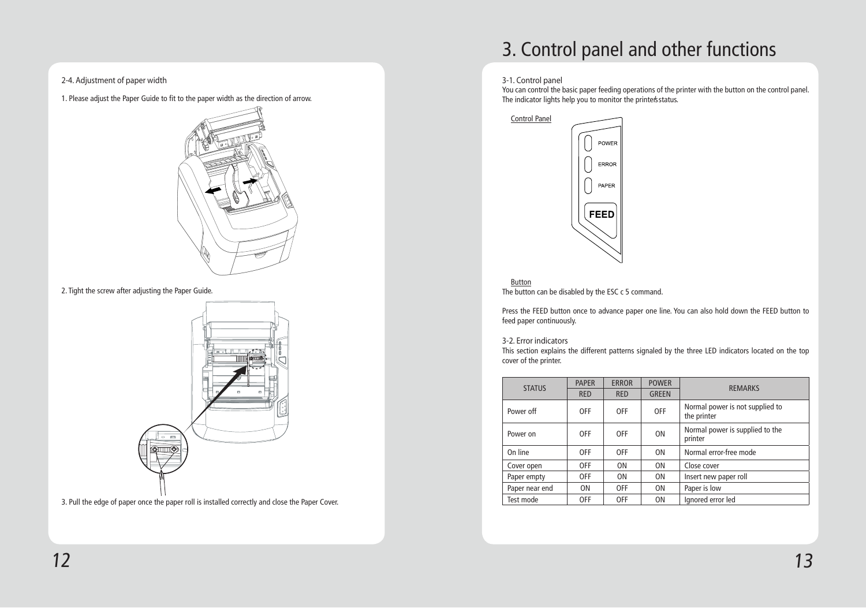2-4. Adjustment of paper width

1. Please adjust the Paper Guide to fit to the paper width as the direction of arrow.



2. Tight the screw after adjusting the Paper Guide.



3. Pull the edge of paper once the paper roll is installed correctly and close the Paper Cover.

# 3. Control panel and other functions

#### 3-1. Control panel

You can control the basic paper feeding operations of the printer with the button on the control panel. The indicator lights help you to monitor the printer's status.



Button The button can be disabled by the ESC c 5 command.

Press the FEED button once to advance paper one line. You can also hold down the FEED button to feed paper continuously.

#### 3-2. Error indicators

This section explains the different patterns signaled by the three LED indicators located on the top cover of the printer.

| <b>STATUS</b>  | <b>PAPER</b> | <b>ERROR</b>   | <b>POWER</b>   |                                                |  |
|----------------|--------------|----------------|----------------|------------------------------------------------|--|
|                | <b>RED</b>   | <b>RED</b>     | <b>GREEN</b>   | <b>REMARKS</b>                                 |  |
| Power off      | <b>OFF</b>   | <b>OFF</b>     | <b>OFF</b>     | Normal power is not supplied to<br>the printer |  |
| Power on       | <b>OFF</b>   | <b>OFF</b>     | 0 <sub>N</sub> | Normal power is supplied to the<br>printer     |  |
| On line        | <b>OFF</b>   | <b>OFF</b>     | 0 <sub>N</sub> | Normal error-free mode                         |  |
| Cover open     | OFF          | 0 <sub>N</sub> | 0 <sub>N</sub> | Close cover                                    |  |
| Paper empty    | <b>OFF</b>   | 0 <sub>N</sub> | 0 <sub>N</sub> | Insert new paper roll                          |  |
| Paper near end | <b>ON</b>    | <b>OFF</b>     | 0 <sub>N</sub> | Paper is low                                   |  |
| Test mode      | <b>OFF</b>   | 0FF            | 0 <sub>N</sub> | Ignored error led                              |  |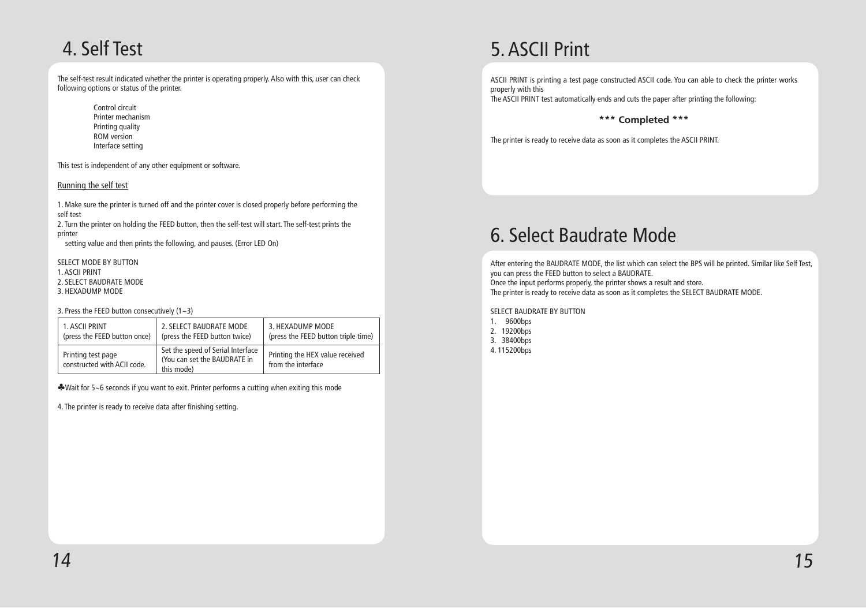# 4. Self Test

The self-test result indicated whether the printer is operating properly. Also with this, user can check following options or status of the printer.

> Control circuit Printer mechanism Printing quality ROM version Interface setting

This test is independent of any other equipment or software.

#### Running the self test

1. Make sure the printer is turned off and the printer cover is closed properly before performing the self test

2. Turn the printer on holding the FEED button, then the self-test will start. The self-test prints the printer

setting value and then prints the following, and pauses. (Error LED On)

SELECT MODE BY BUTTON

1. ASCII PRINT

2. SELECT BAUDRATE MODE

3. HEXADUMP MODE

3. Press the FEED button consecutively  $(1 - 3)$ 

| 1. ASCII PRINT                                    | 2. SELECT BAUDRATE MODE                                                         | 3. HEXADUMP MODE                                      |
|---------------------------------------------------|---------------------------------------------------------------------------------|-------------------------------------------------------|
| (press the FEED button once)                      | (press the FEED button twice)                                                   | (press the FEED button triple time)                   |
| Printing test page<br>constructed with ACII code. | Set the speed of Serial Interface<br>(You can set the BAUDRATE in<br>this mode) | Printing the HEX value received<br>from the interface |

♣Wait for 5~6 seconds if you want to exit. Printer performs a cutting when exiting this mode

4. The printer is ready to receive data after finishing setting.

# 5. ASCII Print

ASCII PRINT is printing a test page constructed ASCII code. You can able to check the printer works properly with this The ASCII PRINT test automatically ends and cuts the paper after printing the following:

### \*\*\* Completed \*\*\*

The printer is ready to receive data as soon as it completes the ASCII PRINT.

# 6. Select Baudrate Mode

After entering the BAUDRATE MODE, the list which can select the BPS will be printed. Similar like Self Test, you can press the FEED button to select a BAUDRATE. Once the input performs properly, the printer shows a result and store. The printer is ready to receive data as soon as it completes the SELECT BAUDRATE MODE.

SELECT BAUDRATE BY BUTTON

| 1. | 9600bps  |
|----|----------|
| 2. | 19200bps |
| 3. | 38400bps |

4. 115200bps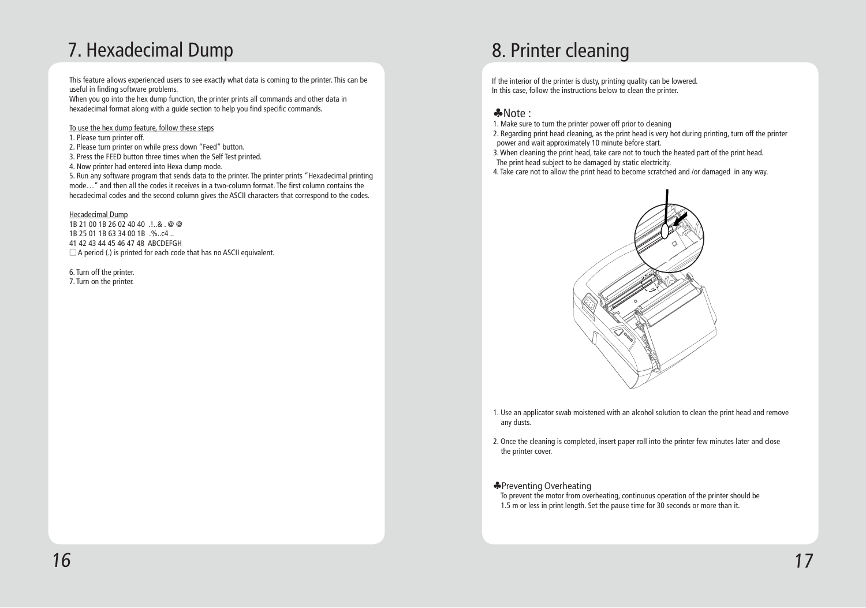# 7. Hexadecimal Dump

This feature allows experienced users to see exactly what data is coming to the printer. This can be useful in finding software problems.

When you go into the hex dump function, the printer prints all commands and other data in hexadecimal format along with a guide section to help you find specific commands.

To use the hex dump feature, follow these steps

1. Please turn printer off.

- 2. Please turn printer on while press down "Feed" button.
- 3. Press the FEED button three times when the Self Test printed.
- 4. Now printer had entered into Hexa dump mode.

5. Run any software program that sends data to the printer. The printer prints "Hexadecimal printing mode…" and then all the codes it receives in a two-column format. The first column contains the hecadecimal codes and the second column gives the ASCII characters that correspond to the codes.

#### Hecadecimal Dump

1B 21 00 1B 26 02 40 40 .!..& . @ @ 1B 25 01 1B 63 34 00 1B .%..c4 .. 41 42 43 44 45 46 47 48 ABCDEFGH  $\square$  A period (.) is printed for each code that has no ASCII equivalent.

6. Turn off the printer. 7. Turn on the printer.

# 8. Printer cleaning

If the interior of the printer is dusty, printing quality can be lowered. In this case, follow the instructions below to clean the printer.

### ♣Note :

- 1. Make sure to turn the printer power off prior to cleaning
- 2. Regarding print head cleaning, as the print head is very hot during printing, turn off the printer power and wait approximately 10 minute before start.
- 3. When cleaning the print head, take care not to touch the heated part of the print head.
- The print head subject to be damaged by static electricity.
- 4. Take care not to allow the print head to become scratched and /or damaged in any way.



- 1. Use an applicator swab moistened with an alcohol solution to clean the print head and remove any dusts.
- 2. Once the cleaning is completed, insert paper roll into the printer few minutes later and close the printer cover.

### ♣Preventing Overheating

 To prevent the motor from overheating, continuous operation of the printer should be 1.5 m or less in print length. Set the pause time for 30 seconds or more than it.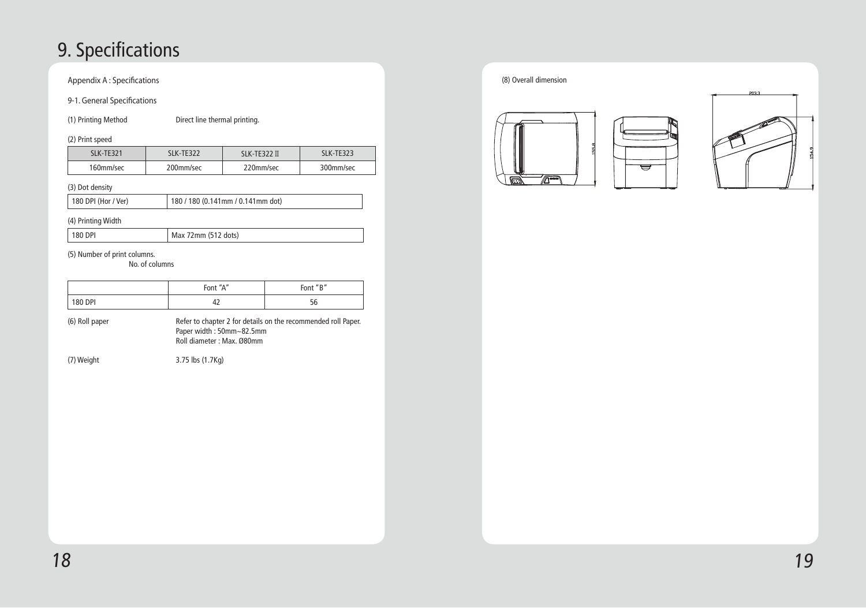# 9. Specifications

Appendix A : Specifications

### 9-1. General Specifications

(1) Printing Method Direct line thermal printing.

### (2) Print speed

| $(2)$ is interested to $(2)$ |                   |              |            |
|------------------------------|-------------------|--------------|------------|
| SLK-TE321                    | <b>SI K-TF322</b> | SLK-TE322 II | SI K-TF323 |
| 160mm/sec                    | 200mm/sec         | 220mm/sec    | 300mm/sec  |

### (3) Dot density

180 DPI (Hor / Ver) 180 / 180 (0.141mm / 0.141mm dot)

#### Ī (4) Printing Width

|  | $\vert$ 180 DPI | Max 72mm (512 dots) |
|--|-----------------|---------------------|
|--|-----------------|---------------------|

#### Ī (5) Number of print columns.

No. of columns

|         | Font "A" | Font "B" |
|---------|----------|----------|
| 180 DPI | ≖∸       | υc       |

| (6) Roll paper | Refer to chapter 2 for details on the recommended roll Paper. |
|----------------|---------------------------------------------------------------|
|                | Paper width: 50mm~82.5mm                                      |
|                | Roll diameter: Max. Ø80mm                                     |

(7) Weight 3.75 lbs (1.7Kg)

(8) Overall dimension





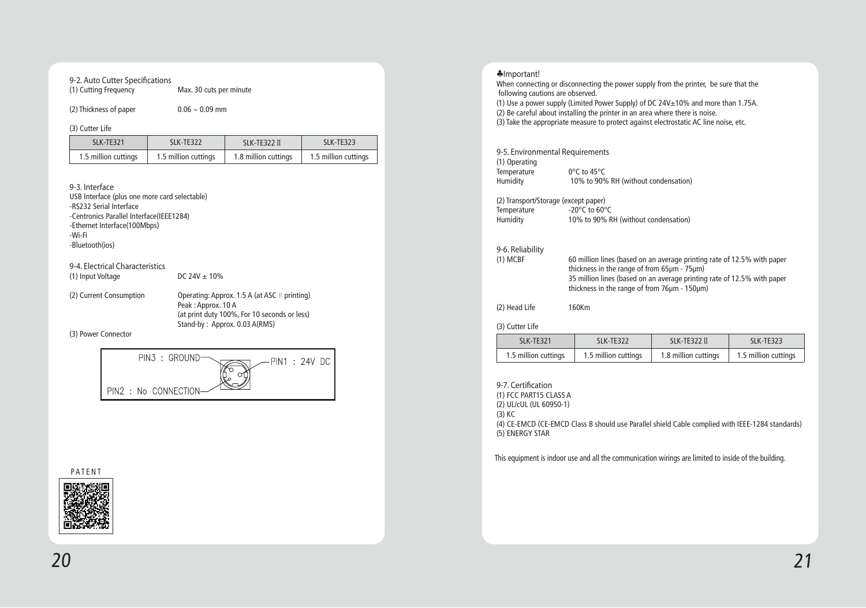#### 9-2. Auto Cutter Specifications

| (1) Cutting Frequency | Max. 30 cuts per minute |
|-----------------------|-------------------------|
|-----------------------|-------------------------|

#### (2) Thickness of paper 0.06  $\sim$  0.09 mm

(3) Cutter Li

| $\cdot$ $\cdot$<br>ıt<br>-11 - |     |        |  |
|--------------------------------|-----|--------|--|
| -                              | . . | TT<br> |  |

| SI K-TF321 | SI K-TF322 | SI K-TF322 II                                                                             | SI K-TF323 |
|------------|------------|-------------------------------------------------------------------------------------------|------------|
|            |            | 1.5 million cuttings   1.5 million cuttings   1.8 million cuttings   1.5 million cuttings |            |

#### 9-3. Interface

- USB Interface (plus one more card selectable)
- -RS232 Serial Interface
- -Centronics Parallel Interface(IEEE1284)
- -Ethernet Interface(100Mbps)
- -Wi-Fi
- -Bluetooth(ios)

#### 9-4. Electrical Characteristics

(1) Input Voltage DC  $24V \pm 10\%$ 

(2) Current Consumption Operating: Approx. 1.5 A (at ASC ⊪ printing) Peak : Approx. 10 A (at print duty 100%, For 10 seconds or less) Stand-by : Approx. 0.03 A(RMS)

(3) Power Connector



PATENT



### ♣Important! When connecting or disconnecting the power supply from the printer, be sure that the following cautions are observed. (1) Use a power supply (Limited Power Supply) of DC  $24V \pm 10\%$  and more than 1.75A. (2) Be careful about installing the printer in an area where there is noise. (3) Take the appropriate measure to protect against electrostatic AC line noise, etc. 9-5. Environmental Requirements (1) Operating Temperature 0°C to 45°C<br>Humidity 10% to 90% 10% to 90% RH (without condensation) (2) Transport/Storage (except paper)<br>Temperature  $-20^{\circ}$ C to 60°C Temperature<br>Humidity 10% to 90% RH (without condensation)

#### 9-6. Reliability

| - - - - - <del>-</del> - - <del>-</del> - - - - - |                                                                         |
|---------------------------------------------------|-------------------------------------------------------------------------|
| (1) MCBF                                          | 60 million lines (based on an average printing rate of 12.5% with paper |
|                                                   | thickness in the range of from 65µm - 75µm)                             |
|                                                   | 35 million lines (based on an average printing rate of 12.5% with paper |
|                                                   | thickness in the range of from 76um - 150um)                            |
|                                                   |                                                                         |

(2) Head Life 160Km

#### (3) Cutter Life

| SI K-TF321 | SI K-TF322                                  | SI K-TF322 II                               | SI K-TF323 |
|------------|---------------------------------------------|---------------------------------------------|------------|
|            | 1.5 million cuttings   1.5 million cuttings | 1.8 million cuttings   1.5 million cuttings |            |

9-7. Certification (1) FCC PART15 CLASS A (2) UL/cUL (UL 60950-1) (3) KC (4) CE-EMCD (CE-EMCD Class B should use Parallel shield Cable complied with IEEE-1284 standards) (5) ENERGY STAR

This equipment is indoor use and all the communication wirings are limited to inside of the building.